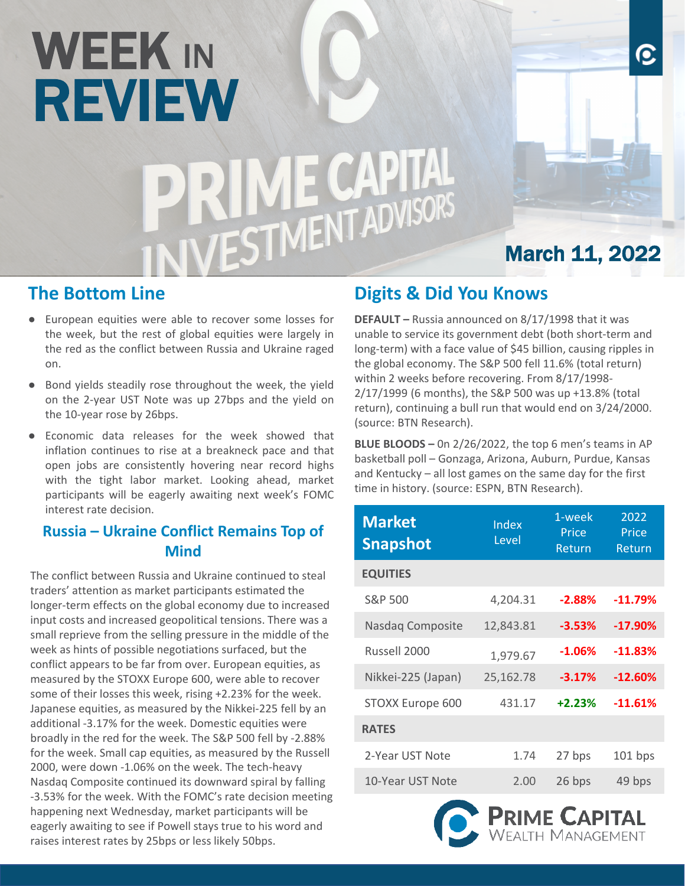# WEEK IN REVIEW<br>PRIME CAPITAL<br>INIVESTMENT ADVISORS

### **The Bottom Line**

- European equities were able to recover some losses for the week, but the rest of global equities were largely in the red as the conflict between Russia and Ukraine raged on.
- Bond yields steadily rose throughout the week, the yield on the 2-year UST Note was up 27bps and the yield on the 10-year rose by 26bps.
- Economic data releases for the week showed that inflation continues to rise at a breakneck pace and that open jobs are consistently hovering near record highs with the tight labor market. Looking ahead, market participants will be eagerly awaiting next week's FOMC interest rate decision.

#### **Russia – Ukraine Conflict Remains Top of Mind**

The conflict between Russia and Ukraine continued to steal traders' attention as market participants estimated the longer-term effects on the global economy due to increased input costs and increased geopolitical tensions. There was a small reprieve from the selling pressure in the middle of the week as hints of possible negotiations surfaced, but the conflict appears to be far from over. European equities, as measured by the STOXX Europe 600, were able to recover some of their losses this week, rising +2.23% for the week. Japanese equities, as measured by the Nikkei-225 fell by an additional -3.17% for the week. Domestic equities were broadly in the red for the week. The S&P 500 fell by -2.88% for the week. Small cap equities, as measured by the Russell 2000, were down -1.06% on the week. The tech-heavy Nasdaq Composite continued its downward spiral by falling -3.53% for the week. With the FOMC's rate decision meeting happening next Wednesday, market participants will be eagerly awaiting to see if Powell stays true to his word and raises interest rates by 25bps or less likely 50bps.

## **Digits & Did You Knows**

**DEFAULT –** Russia announced on 8/17/1998 that it was unable to service its government debt (both short-term and long-term) with a face value of \$45 billion, causing ripples in the global economy. The S&P 500 fell 11.6% (total return) within 2 weeks before recovering. From 8/17/1998- 2/17/1999 (6 months), the S&P 500 was up +13.8% (total return), continuing a bull run that would end on 3/24/2000. (source: BTN Research).

March 11, 2022

O

**BLUE BLOODS –** 0n 2/26/2022, the top 6 men's teams in AP basketball poll – Gonzaga, Arizona, Auburn, Purdue, Kansas and Kentucky – all lost games on the same day for the first time in history. (source: ESPN, BTN Research).

| <b>Market</b><br><b>Snapshot</b> | 1-week<br>Index<br>Price<br>Level<br>Return |          | 2022<br>Price<br>Return |
|----------------------------------|---------------------------------------------|----------|-------------------------|
| <b>EQUITIES</b>                  |                                             |          |                         |
| S&P 500                          | 4,204.31                                    | $-2.88%$ | $-11.79%$               |
| Nasdaq Composite                 | 12,843.81                                   | $-3.53%$ | $-17.90%$               |
| Russell 2000                     | 1,979.67                                    | $-1.06%$ | $-11.83%$               |
| Nikkei-225 (Japan)               | 25,162.78                                   | $-3.17%$ | $-12.60\%$              |
| STOXX Europe 600                 | 431.17                                      | $+2.23%$ | $-11.61%$               |
| <b>RATES</b>                     |                                             |          |                         |
| 2-Year UST Note                  | 1.74                                        | 27 bps   | 101 bps                 |
| 10-Year UST Note                 | 2.00                                        | 26 bps   | 49 bps                  |
|                                  |                                             |          |                         |

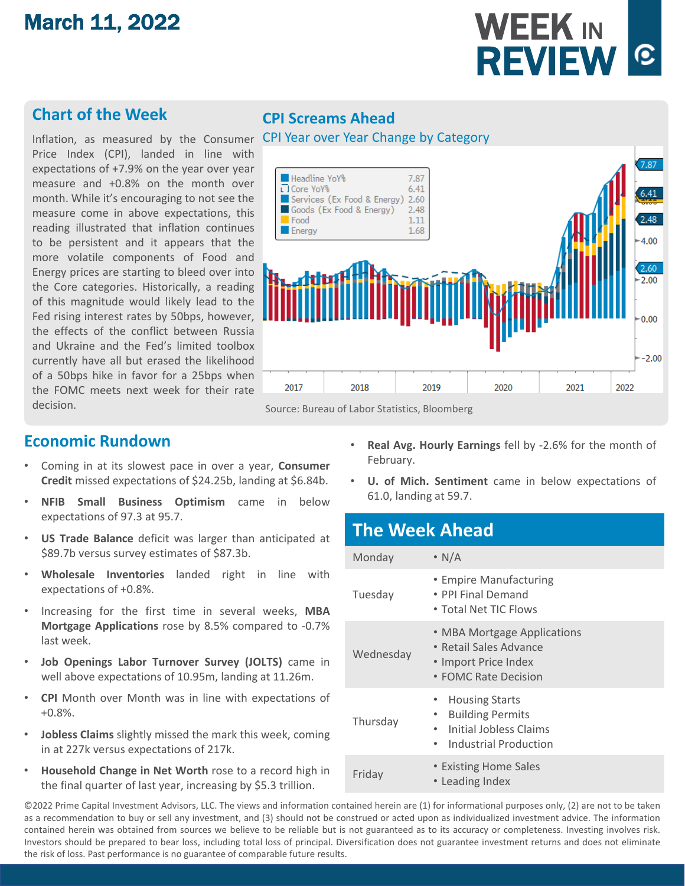# March 11, 2022



#### **Chart of the Week**

Price Index (CPI), landed in line with expectations of +7.9% on the year over year measure and +0.8% on the month over month. While it's encouraging to not see the measure come in above expectations, this reading illustrated that inflation continues to be persistent and it appears that the more volatile components of Food and Energy prices are starting to bleed over into the Core categories. Historically, a reading of this magnitude would likely lead to the Fed rising interest rates by 50bps, however, the effects of the conflict between Russia and Ukraine and the Fed's limited toolbox currently have all but erased the likelihood of a 50bps hike in favor for a 25bps when the FOMC meets next week for their rate decision.

#### **CPI Screams Ahead**



#### **Economic Rundown**

- Coming in at its slowest pace in over a year, **Consumer Credit** missed expectations of \$24.25b, landing at \$6.84b.
- **NFIB Small Business Optimism** came in below expectations of 97.3 at 95.7.
- **US Trade Balance** deficit was larger than anticipated at \$89.7b versus survey estimates of \$87.3b.
- **Wholesale Inventories** landed right in line with expectations of +0.8%.
- Increasing for the first time in several weeks, **MBA Mortgage Applications** rose by 8.5% compared to -0.7% last week.
- **Job Openings Labor Turnover Survey (JOLTS)** came in well above expectations of 10.95m, landing at 11.26m.
- **CPI** Month over Month was in line with expectations of +0.8%.
- **Jobless Claims** slightly missed the mark this week, coming in at 227k versus expectations of 217k.
- **Household Change in Net Worth** rose to a record high in the final quarter of last year, increasing by \$5.3 trillion.
- **Real Avg. Hourly Earnings** fell by -2.6% for the month of February.
- **U. of Mich. Sentiment** came in below expectations of 61.0, landing at 59.7.

#### **The Week Ahead**

| Monday    | $\cdot$ N/A                                                                                                                                             |
|-----------|---------------------------------------------------------------------------------------------------------------------------------------------------------|
| Tuesday   | • Empire Manufacturing<br>• PPI Final Demand<br>• Total Net TIC Flows                                                                                   |
| Wednesday | • MBA Mortgage Applications<br>• Retail Sales Advance<br>• Import Price Index<br>• FOMC Rate Decision                                                   |
| Thursday  | <b>Housing Starts</b><br>$\bullet$<br><b>Building Permits</b><br>$\bullet$<br>Initial Jobless Claims<br>$\bullet$<br>Industrial Production<br>$\bullet$ |
| Friday    | • Existing Home Sales<br>• Leading Index                                                                                                                |

©2022 Prime Capital Investment Advisors, LLC. The views and information contained herein are (1) for informational purposes only, (2) are not to be taken as a recommendation to buy or sell any investment, and (3) should not be construed or acted upon as individualized investment advice. The information contained herein was obtained from sources we believe to be reliable but is not guaranteed as to its accuracy or completeness. Investing involves risk. Investors should be prepared to bear loss, including total loss of principal. Diversification does not guarantee investment returns and does not eliminate the risk of loss. Past performance is no guarantee of comparable future results.